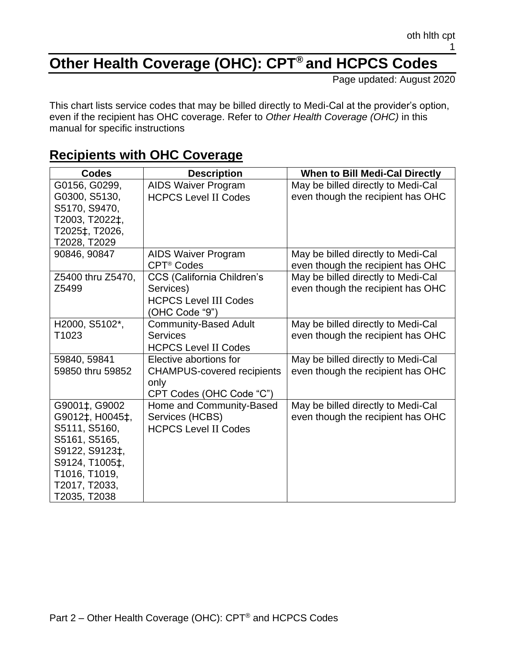## **Other Health Coverage (OHC): CPT® and HCPCS Codes**

Page updated: August 2020

This chart lists service codes that may be billed directly to Medi-Cal at the provider's option, even if the recipient has OHC coverage. Refer to *Other Health Coverage (OHC)* in this manual for specific instructions

| <b>Codes</b>      | <b>Description</b>                | When to Bill Medi-Cal Directly     |
|-------------------|-----------------------------------|------------------------------------|
| G0156, G0299,     | <b>AIDS Waiver Program</b>        | May be billed directly to Medi-Cal |
| G0300, S5130,     | <b>HCPCS Level II Codes</b>       | even though the recipient has OHC  |
| S5170, S9470,     |                                   |                                    |
| T2003, T2022‡,    |                                   |                                    |
| T2025‡, T2026,    |                                   |                                    |
| T2028, T2029      |                                   |                                    |
| 90846, 90847      | <b>AIDS Waiver Program</b>        | May be billed directly to Medi-Cal |
|                   | CPT <sup>®</sup> Codes            | even though the recipient has OHC  |
| Z5400 thru Z5470, | CCS (California Children's        | May be billed directly to Medi-Cal |
| Z5499             | Services)                         | even though the recipient has OHC  |
|                   | <b>HCPCS Level III Codes</b>      |                                    |
|                   | (OHC Code "9")                    |                                    |
| H2000, S5102*,    | <b>Community-Based Adult</b>      | May be billed directly to Medi-Cal |
| T1023             | <b>Services</b>                   | even though the recipient has OHC  |
|                   | <b>HCPCS Level II Codes</b>       |                                    |
| 59840, 59841      | Elective abortions for            | May be billed directly to Medi-Cal |
| 59850 thru 59852  | <b>CHAMPUS-covered recipients</b> | even though the recipient has OHC  |
|                   | only                              |                                    |
|                   | CPT Codes (OHC Code "C")          |                                    |
| G9001‡, G9002     | Home and Community-Based          | May be billed directly to Medi-Cal |
| G9012‡, H0045‡,   | Services (HCBS)                   | even though the recipient has OHC  |
| S5111, S5160,     | <b>HCPCS Level II Codes</b>       |                                    |
| S5161, S5165,     |                                   |                                    |
| S9122, S9123‡,    |                                   |                                    |
| S9124, T1005‡,    |                                   |                                    |
| T1016, T1019,     |                                   |                                    |
| T2017, T2033,     |                                   |                                    |
| T2035, T2038      |                                   |                                    |

## **Recipients with OHC Coverage**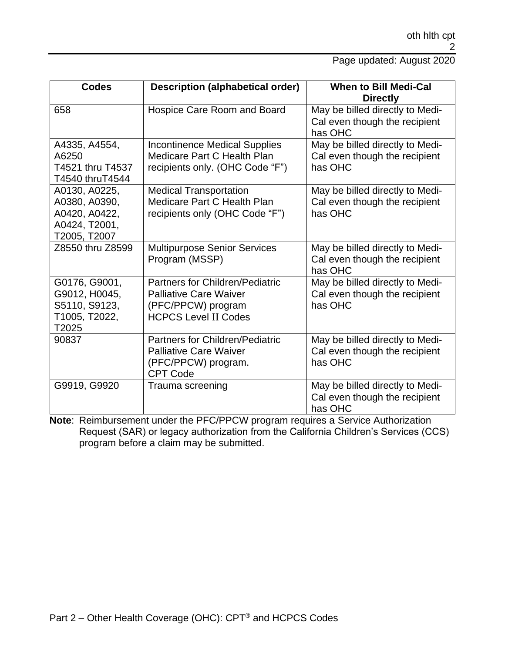Page updated: August 2020

| <b>Codes</b>                                                                     | <b>Description (alphabetical order)</b>                                                                                      | When to Bill Medi-Cal<br><b>Directly</b>                                    |
|----------------------------------------------------------------------------------|------------------------------------------------------------------------------------------------------------------------------|-----------------------------------------------------------------------------|
| 658                                                                              | Hospice Care Room and Board                                                                                                  | May be billed directly to Medi-<br>Cal even though the recipient<br>has OHC |
| A4335, A4554,<br>A6250<br>T4521 thru T4537<br>T4540 thruT4544                    | <b>Incontinence Medical Supplies</b><br>Medicare Part C Health Plan<br>recipients only. (OHC Code "F")                       | May be billed directly to Medi-<br>Cal even though the recipient<br>has OHC |
| A0130, A0225,<br>A0380, A0390,<br>A0420, A0422,<br>A0424, T2001,<br>T2005, T2007 | <b>Medical Transportation</b><br>Medicare Part C Health Plan<br>recipients only (OHC Code "F")                               | May be billed directly to Medi-<br>Cal even though the recipient<br>has OHC |
| Z8550 thru Z8599                                                                 | <b>Multipurpose Senior Services</b><br>Program (MSSP)                                                                        | May be billed directly to Medi-<br>Cal even though the recipient<br>has OHC |
| G0176, G9001,<br>G9012, H0045,<br>S5110, S9123,<br>T1005, T2022,<br>T2025        | <b>Partners for Children/Pediatric</b><br><b>Palliative Care Waiver</b><br>(PFC/PPCW) program<br><b>HCPCS Level II Codes</b> | May be billed directly to Medi-<br>Cal even though the recipient<br>has OHC |
| 90837                                                                            | <b>Partners for Children/Pediatric</b><br><b>Palliative Care Waiver</b><br>(PFC/PPCW) program.<br><b>CPT Code</b>            | May be billed directly to Medi-<br>Cal even though the recipient<br>has OHC |
| G9919, G9920                                                                     | Trauma screening                                                                                                             | May be billed directly to Medi-<br>Cal even though the recipient<br>has OHC |

**Note**: Reimbursement under the PFC/PPCW program requires a Service Authorization Request (SAR) or legacy authorization from the California Children's Services (CCS) program before a claim may be submitted.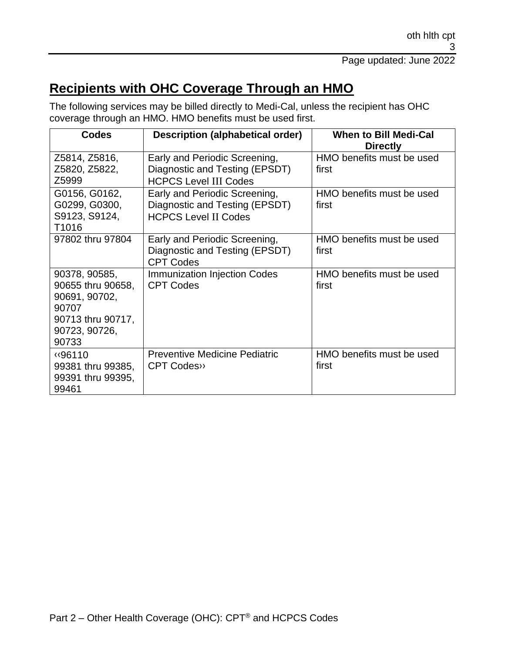## **Recipients with OHC Coverage Through an HMO**

The following services may be billed directly to Medi-Cal, unless the recipient has OHC coverage through an HMO. HMO benefits must be used first.

| <b>Codes</b>                                                                                                | <b>Description (alphabetical order)</b>                                                         | <b>When to Bill Medi-Cal</b><br><b>Directly</b> |
|-------------------------------------------------------------------------------------------------------------|-------------------------------------------------------------------------------------------------|-------------------------------------------------|
| Z5814, Z5816,<br>Z5820, Z5822,<br>Z5999                                                                     | Early and Periodic Screening,<br>Diagnostic and Testing (EPSDT)<br><b>HCPCS Level III Codes</b> | HMO benefits must be used<br>first              |
| G0156, G0162,<br>G0299, G0300,<br>S9123, S9124,<br>T <sub>1016</sub>                                        | Early and Periodic Screening,<br>Diagnostic and Testing (EPSDT)<br><b>HCPCS Level II Codes</b>  | HMO benefits must be used<br>first              |
| 97802 thru 97804                                                                                            | Early and Periodic Screening,<br>Diagnostic and Testing (EPSDT)<br><b>CPT Codes</b>             | HMO benefits must be used<br>first              |
| 90378, 90585,<br>90655 thru 90658,<br>90691, 90702,<br>90707<br>90713 thru 90717,<br>90723, 90726,<br>90733 | <b>Immunization Injection Codes</b><br><b>CPT Codes</b>                                         | HMO benefits must be used<br>first              |
| «96110<br>99381 thru 99385,<br>99391 thru 99395,<br>99461                                                   | <b>Preventive Medicine Pediatric</b><br>CPT Codes>>                                             | HMO benefits must be used<br>first              |